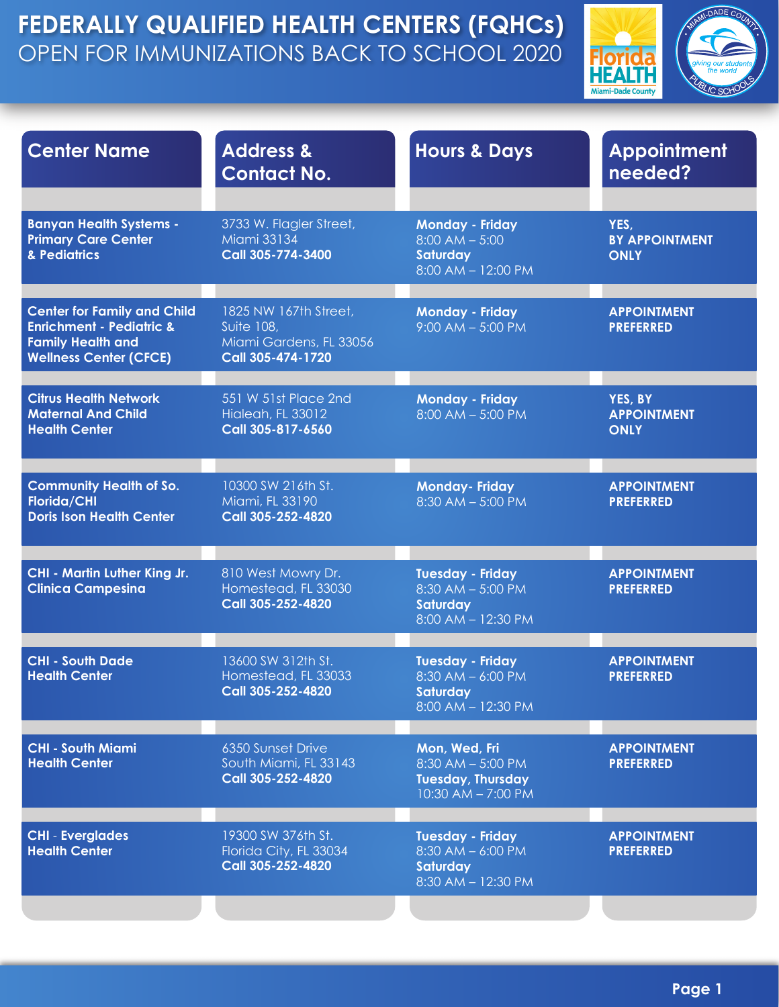

| <b>Center Name</b>                                                                                                                     | <b>Address &amp;</b><br><b>Contact No.</b>                                                 | <b>Hours &amp; Days</b>                                                                   | <b>Appointment</b><br>needed?                |
|----------------------------------------------------------------------------------------------------------------------------------------|--------------------------------------------------------------------------------------------|-------------------------------------------------------------------------------------------|----------------------------------------------|
| <b>Banyan Health Systems -</b><br><b>Primary Care Center</b><br>& Pediatrics                                                           | 3733 W. Flagler Street,<br><b>Miami 33134</b><br>Call 305-774-3400                         | <b>Monday - Friday</b><br>$8:00$ AM $- 5:00$<br><b>Saturday</b><br>$8:00$ AM $- 12:00$ PM | YES,<br><b>BY APPOINTMENT</b><br><b>ONLY</b> |
| <b>Center for Family and Child</b><br><b>Enrichment - Pediatric &amp;</b><br><b>Family Health and</b><br><b>Wellness Center (CFCE)</b> | 1825 NW 167th Street,<br><b>Suite 108,</b><br>Miami Gardens, FL 33056<br>Call 305-474-1720 | <b>Monday - Friday</b><br>$9:00$ AM $-$ 5:00 PM                                           | <b>APPOINTMENT</b><br><b>PREFERRED</b>       |
| <b>Citrus Health Network</b><br><b>Maternal And Child</b><br><b>Health Center</b>                                                      | 551 W 51st Place 2nd<br><b>Hialeah, FL 33012</b><br>Call 305-817-6560                      | <b>Monday - Friday</b><br>$8:00$ AM $-5:00$ PM                                            | YES, BY<br><b>APPOINTMENT</b><br><b>ONLY</b> |
| <b>Community Health of So.</b><br>Florida/CHI<br><b>Doris Ison Health Center</b>                                                       | 10300 SW 216th St.<br>Miami, FL 33190<br>Call 305-252-4820                                 | <b>Monday-Friday</b><br>$8:30$ AM $-5:00$ PM                                              | <b>APPOINTMENT</b><br><b>PREFERRED</b>       |
| <b>CHI - Martin Luther King Jr.</b><br><b>Clinica Campesina</b>                                                                        | 810 West Mowry Dr.<br>Homestead, FL 33030<br>Call 305-252-4820                             | <b>Tuesday - Friday</b><br>$8:30$ AM $-5:00$ PM<br><b>Saturday</b><br>8:00 AM - 12:30 PM  | <b>APPOINTMENT</b><br><b>PREFERRED</b>       |
| <b>CHI - South Dade</b><br><b>Health Center</b>                                                                                        | 13600 SW 312th St.<br>Homestead, FL 33033<br>Call 305-252-4820                             | <b>Tuesday - Friday</b><br>$8:30$ AM $-$ 6:00 PM<br>Saturday<br>8:00 AM - 12:30 PM        | <b>APPOINTMENT</b><br><b>PREFERRED</b>       |
| <b>CHI - South Miami</b><br><b>Health Center</b>                                                                                       | 6350 Sunset Drive<br>South Miami, FL 33143<br>Call 305-252-4820                            | Mon, Wed, Fri<br>8:30 AM - 5:00 PM<br><b>Tuesday, Thursday</b><br>10:30 AM - 7:00 PM      | <b>APPOINTMENT</b><br><b>PREFERRED</b>       |
| <b>CHI - Everglades</b><br><b>Health Center</b>                                                                                        | 19300 SW 376th St.<br>Florida City, FL 33034<br>Call 305-252-4820                          | <b>Tuesday - Friday</b><br>8:30 AM - 6:00 PM<br><b>Saturday</b><br>8:30 AM - 12:30 PM     | <b>APPOINTMENT</b><br><b>PREFERRED</b>       |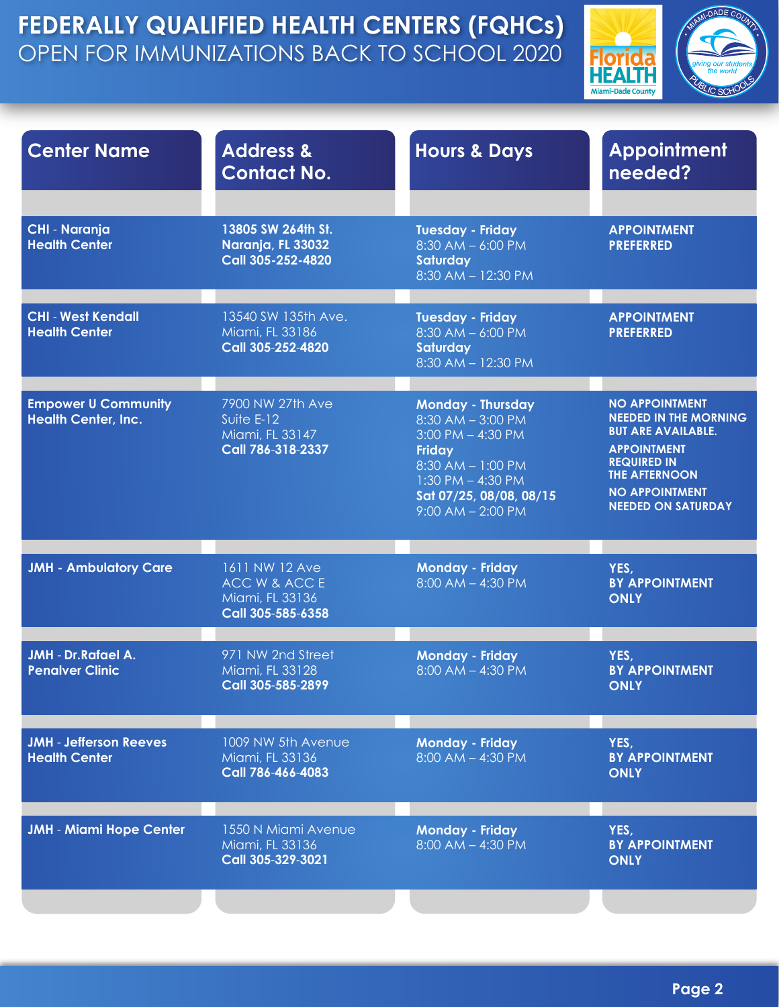

| <b>Center Name</b>                                       | <b>Address &amp;</b><br><b>Contact No.</b>                               | <b>Hours &amp; Days</b>                                                                                                                                                                          | <b>Appointment</b><br>needed?                                                                                                                                                                                |
|----------------------------------------------------------|--------------------------------------------------------------------------|--------------------------------------------------------------------------------------------------------------------------------------------------------------------------------------------------|--------------------------------------------------------------------------------------------------------------------------------------------------------------------------------------------------------------|
| <b>CHI - Naranja</b><br><b>Health Center</b>             | 13805 SW 264th St.<br>Naranja, FL 33032<br>Call 305-252-4820             | <b>Tuesday - Friday</b><br>$8:30$ AM $-$ 6:00 PM<br><b>Saturday</b><br>$8:30$ AM $-12:30$ PM                                                                                                     | <b>APPOINTMENT</b><br><b>PREFERRED</b>                                                                                                                                                                       |
| <b>CHI - West Kendall</b><br><b>Health Center</b>        | 13540 SW 135th Ave.<br>Miami, FL 33186<br>Call 305-252-4820              | <b>Tuesday - Friday</b><br>$8:30$ AM $-$ 6:00 PM<br><b>Saturday</b><br>8:30 AM - 12:30 PM                                                                                                        | <b>APPOINTMENT</b><br><b>PREFERRED</b>                                                                                                                                                                       |
| <b>Empower U Community</b><br><b>Health Center, Inc.</b> | 7900 NW 27th Ave<br>Suite $E-12$<br>Miami, FL 33147<br>Call 786-318-2337 | <b>Monday - Thursday</b><br>$8:30$ AM $-3:00$ PM<br>$3:00$ PM $-$ 4:30 PM<br><b>Friday</b><br>$8:30$ AM $- 1:00$ PM<br>$1:30$ PM $-$ 4:30 PM<br>Sat 07/25, 08/08, 08/15<br>$9:00$ AM $- 2:00$ PM | <b>NO APPOINTMENT</b><br><b>NEEDED IN THE MORNING</b><br><b>BUT ARE AVAILABLE.</b><br><b>APPOINTMENT</b><br><b>REQUIRED IN</b><br><b>THE AFTERNOON</b><br><b>NO APPOINTMENT</b><br><b>NEEDED ON SATURDAY</b> |
| <b>JMH - Ambulatory Care</b>                             | 1611 NW 12 Ave<br>ACC W & ACC E<br>Miami, FL 33136<br>Call 305-585-6358  | <b>Monday - Friday</b><br>$8:00$ AM $-$ 4:30 PM                                                                                                                                                  | YES,<br><b>BY APPOINTMENT</b><br><b>ONLY</b>                                                                                                                                                                 |
| <b>JMH</b> - Dr. Rafael A.<br><b>Penalver Clinic</b>     | 971 NW 2nd Street<br>Miami, FL 33128<br>Call 305-585-2899                | <b>Monday - Friday</b><br>$8:00$ AM $-$ 4:30 PM                                                                                                                                                  | YES,<br><b>BY APPOINTMENT</b><br><b>ONLY</b>                                                                                                                                                                 |
| <b>JMH</b> - Jefferson Reeves<br><b>Health Center</b>    | 1009 NW 5th Avenue<br>Miami, FL 33136<br>Call 786-466-4083               | <b>Monday - Friday</b><br>$8:00$ AM $-$ 4:30 PM                                                                                                                                                  | YES,<br><b>BY APPOINTMENT</b><br><b>ONLY</b>                                                                                                                                                                 |
| <b>JMH - Miami Hope Center</b>                           | 1550 N Miami Avenue<br>Miami, FL 33136<br>Call 305-329-3021              | <b>Monday - Friday</b><br>$8:00$ AM $-$ 4:30 PM                                                                                                                                                  | YES,<br><b>BY APPOINTMENT</b><br><b>ONLY</b>                                                                                                                                                                 |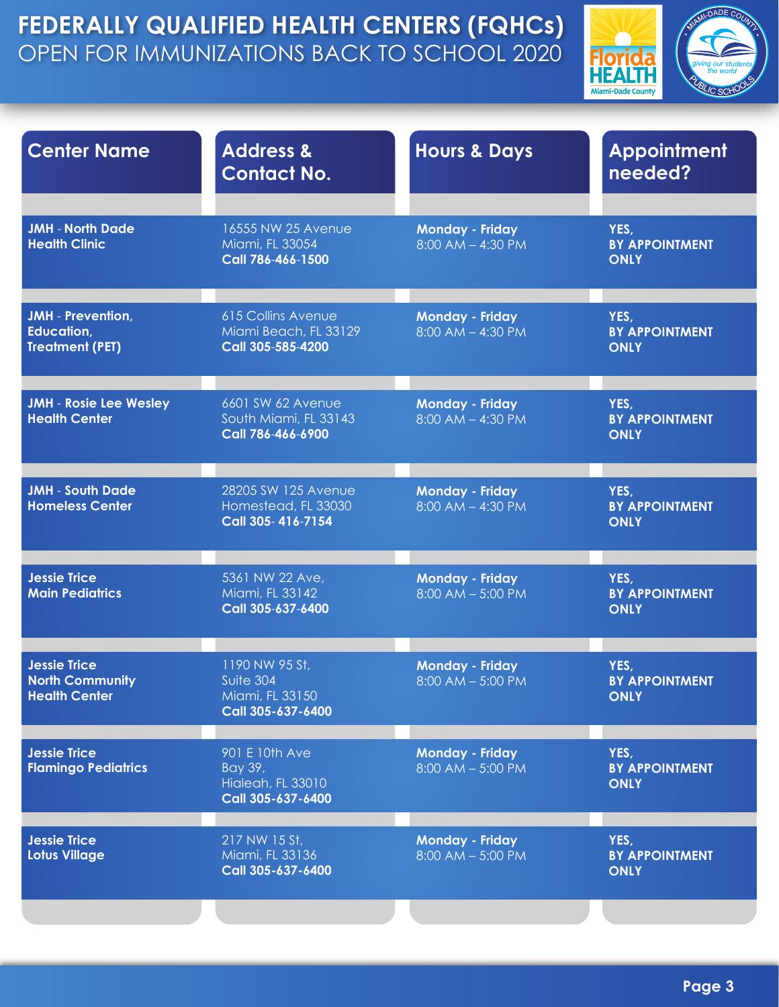

| <b>Center Name</b>                                                    | <b>Address &amp;</b><br><b>Contact No.</b>                              | <b>Hours &amp; Days</b>                         | <b>Appointment</b><br>needed?                |
|-----------------------------------------------------------------------|-------------------------------------------------------------------------|-------------------------------------------------|----------------------------------------------|
| <b>JMH - North Dade</b><br><b>Health Clinic</b>                       | 16555 NW 25 Avenue<br>Miami, FL 33054<br>Call 786-466-1500              | <b>Monday - Friday</b><br>$8:00$ AM $-$ 4:30 PM | YES,<br><b>BY APPOINTMENT</b><br><b>ONLY</b> |
| <b>JMH</b> - Prevention,<br>Education,<br><b>Treatment (PET)</b>      | <b>615 Collins Avenue</b><br>Miami Beach, FL 33129<br>Call 305-585-4200 | <b>Monday - Friday</b><br>$8:00$ AM $-$ 4:30 PM | YES,<br><b>BY APPOINTMENT</b><br><b>ONLY</b> |
| <b>JMH - Rosie Lee Wesley</b><br><b>Health Center</b>                 | 6601 SW 62 Avenue<br>South Miami, FL 33143<br>Call 786-466-6900         | <b>Monday - Friday</b><br>$8:00$ AM $-$ 4:30 PM | YES,<br><b>BY APPOINTMENT</b><br><b>ONLY</b> |
| <b>JMH - South Dade</b><br><b>Homeless Center</b>                     | 28205 SW 125 Avenue<br>Homestead, FL 33030<br>Call 305-416-7154         | <b>Monday - Friday</b><br>$8:00$ AM $-$ 4:30 PM | YES,<br><b>BY APPOINTMENT</b><br><b>ONLY</b> |
| <b>Jessie Trice</b><br><b>Main Pediatrics</b>                         | 5361 NW 22 Ave,<br>Miami, FL 33142<br>Call 305-637-6400                 | <b>Monday - Friday</b><br>$8:00$ AM $-5:00$ PM  | YES,<br><b>BY APPOINTMENT</b><br><b>ONLY</b> |
| <b>Jessie Trice</b><br><b>North Community</b><br><b>Health Center</b> | 1190 NW 95 St.<br>Suite 304<br>Miami, FL 33150<br>Call 305-637-6400     | <b>Monday - Friday</b><br>$8:00$ AM $- 5:00$ PM | YES,<br><b>BY APPOINTMENT</b><br>ONLY        |
| <b>Jessie Trice</b><br><b>Flamingo Pediatrics</b>                     | 901 E 10th Ave<br>Bay 39,<br>Hialeah, FL 33010<br>Call 305-637-6400     | <b>Monday - Friday</b><br>$8:00$ AM $- 5:00$ PM | YES,<br><b>BY APPOINTMENT</b><br><b>ONLY</b> |
| <b>Jessie Trice</b><br>Lotus Village                                  | 217 NW 15 St,<br>Miami, FL 33136<br>Call 305-637-6400                   | <b>Monday - Friday</b><br>$8:00$ AM $- 5:00$ PM | YES,<br><b>BY APPOINTMENT</b><br><b>ONLY</b> |